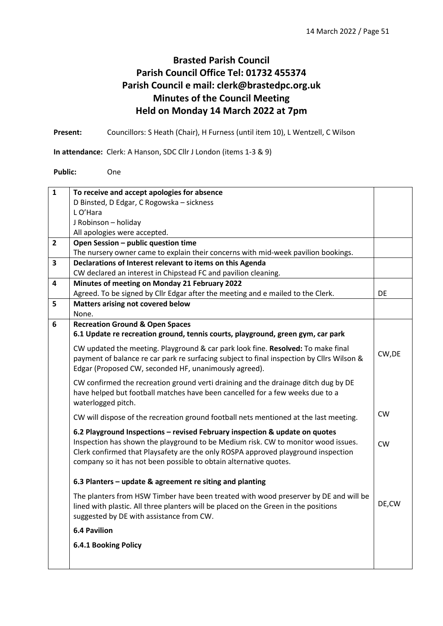## **Brasted Parish Council Parish Council Office Tel: 01732 455374 Parish Council e mail: clerk@brastedpc.org.uk Minutes of the Council Meeting Held on Monday 14 March 2022 at 7pm**

**Present:** Councillors: S Heath (Chair), H Furness (until item 10), L Wentzell, C Wilson

**In attendance:** Clerk: A Hanson, SDC Cllr J London (items 1-3 & 9)

**Public:** One

| $\mathbf{1}$            | To receive and accept apologies for absence                                                                                                                                                                                                                                                                                |           |
|-------------------------|----------------------------------------------------------------------------------------------------------------------------------------------------------------------------------------------------------------------------------------------------------------------------------------------------------------------------|-----------|
|                         | D Binsted, D Edgar, C Rogowska - sickness                                                                                                                                                                                                                                                                                  |           |
|                         | L O'Hara                                                                                                                                                                                                                                                                                                                   |           |
|                         | J Robinson - holiday                                                                                                                                                                                                                                                                                                       |           |
|                         | All apologies were accepted.                                                                                                                                                                                                                                                                                               |           |
| $\overline{2}$          | Open Session - public question time                                                                                                                                                                                                                                                                                        |           |
|                         | The nursery owner came to explain their concerns with mid-week pavilion bookings.                                                                                                                                                                                                                                          |           |
| $\overline{\mathbf{3}}$ | Declarations of Interest relevant to items on this Agenda                                                                                                                                                                                                                                                                  |           |
|                         | CW declared an interest in Chipstead FC and pavilion cleaning.                                                                                                                                                                                                                                                             |           |
| 4                       | Minutes of meeting on Monday 21 February 2022                                                                                                                                                                                                                                                                              |           |
|                         | Agreed. To be signed by Cllr Edgar after the meeting and e mailed to the Clerk.                                                                                                                                                                                                                                            | DE        |
| 5                       | Matters arising not covered below                                                                                                                                                                                                                                                                                          |           |
|                         | None.                                                                                                                                                                                                                                                                                                                      |           |
| 6                       | <b>Recreation Ground &amp; Open Spaces</b>                                                                                                                                                                                                                                                                                 |           |
|                         | 6.1 Update re recreation ground, tennis courts, playground, green gym, car park                                                                                                                                                                                                                                            |           |
|                         | CW updated the meeting. Playground & car park look fine. Resolved: To make final<br>payment of balance re car park re surfacing subject to final inspection by Cllrs Wilson &<br>Edgar (Proposed CW, seconded HF, unanimously agreed).                                                                                     | CW, DE    |
|                         | CW confirmed the recreation ground verti draining and the drainage ditch dug by DE<br>have helped but football matches have been cancelled for a few weeks due to a<br>waterlogged pitch.                                                                                                                                  |           |
|                         | CW will dispose of the recreation ground football nets mentioned at the last meeting.                                                                                                                                                                                                                                      | <b>CW</b> |
|                         | 6.2 Playground Inspections - revised February inspection & update on quotes<br>Inspection has shown the playground to be Medium risk. CW to monitor wood issues.<br>Clerk confirmed that Playsafety are the only ROSPA approved playground inspection<br>company so it has not been possible to obtain alternative quotes. | CW        |
|                         | 6.3 Planters - update & agreement re siting and planting                                                                                                                                                                                                                                                                   |           |
|                         | The planters from HSW Timber have been treated with wood preserver by DE and will be<br>lined with plastic. All three planters will be placed on the Green in the positions<br>suggested by DE with assistance from CW.                                                                                                    | DE,CW     |
|                         | <b>6.4 Pavilion</b>                                                                                                                                                                                                                                                                                                        |           |
|                         | <b>6.4.1 Booking Policy</b>                                                                                                                                                                                                                                                                                                |           |
|                         |                                                                                                                                                                                                                                                                                                                            |           |
|                         |                                                                                                                                                                                                                                                                                                                            |           |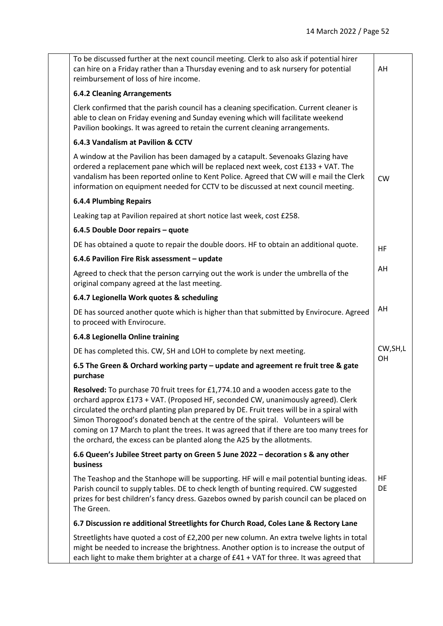| To be discussed further at the next council meeting. Clerk to also ask if potential hirer<br>can hire on a Friday rather than a Thursday evening and to ask nursery for potential<br>reimbursement of loss of hire income.                                                                                                                                                                                                                                                                                                     | AH              |
|--------------------------------------------------------------------------------------------------------------------------------------------------------------------------------------------------------------------------------------------------------------------------------------------------------------------------------------------------------------------------------------------------------------------------------------------------------------------------------------------------------------------------------|-----------------|
| <b>6.4.2 Cleaning Arrangements</b>                                                                                                                                                                                                                                                                                                                                                                                                                                                                                             |                 |
| Clerk confirmed that the parish council has a cleaning specification. Current cleaner is<br>able to clean on Friday evening and Sunday evening which will facilitate weekend<br>Pavilion bookings. It was agreed to retain the current cleaning arrangements.                                                                                                                                                                                                                                                                  |                 |
| 6.4.3 Vandalism at Pavilion & CCTV                                                                                                                                                                                                                                                                                                                                                                                                                                                                                             |                 |
| A window at the Pavilion has been damaged by a catapult. Sevenoaks Glazing have<br>ordered a replacement pane which will be replaced next week, cost £133 + VAT. The<br>vandalism has been reported online to Kent Police. Agreed that CW will e mail the Clerk<br>information on equipment needed for CCTV to be discussed at next council meeting.                                                                                                                                                                           | <b>CW</b>       |
| <b>6.4.4 Plumbing Repairs</b>                                                                                                                                                                                                                                                                                                                                                                                                                                                                                                  |                 |
| Leaking tap at Pavilion repaired at short notice last week, cost £258.                                                                                                                                                                                                                                                                                                                                                                                                                                                         |                 |
| 6.4.5 Double Door repairs - quote                                                                                                                                                                                                                                                                                                                                                                                                                                                                                              |                 |
| DE has obtained a quote to repair the double doors. HF to obtain an additional quote.                                                                                                                                                                                                                                                                                                                                                                                                                                          | <b>HF</b>       |
| 6.4.6 Pavilion Fire Risk assessment - update                                                                                                                                                                                                                                                                                                                                                                                                                                                                                   |                 |
| Agreed to check that the person carrying out the work is under the umbrella of the<br>original company agreed at the last meeting.                                                                                                                                                                                                                                                                                                                                                                                             | AH              |
| 6.4.7 Legionella Work quotes & scheduling                                                                                                                                                                                                                                                                                                                                                                                                                                                                                      |                 |
| DE has sourced another quote which is higher than that submitted by Envirocure. Agreed<br>to proceed with Envirocure.                                                                                                                                                                                                                                                                                                                                                                                                          | AH              |
| 6.4.8 Legionella Online training                                                                                                                                                                                                                                                                                                                                                                                                                                                                                               |                 |
| DE has completed this. CW, SH and LOH to complete by next meeting.                                                                                                                                                                                                                                                                                                                                                                                                                                                             | CW, SH, L       |
| 6.5 The Green & Orchard working party - update and agreement re fruit tree & gate<br>purchase                                                                                                                                                                                                                                                                                                                                                                                                                                  | <b>OH</b>       |
| Resolved: To purchase 70 fruit trees for £1,774.10 and a wooden access gate to the<br>orchard approx £173 + VAT. (Proposed HF, seconded CW, unanimously agreed). Clerk<br>circulated the orchard planting plan prepared by DE. Fruit trees will be in a spiral with<br>Simon Thorogood's donated bench at the centre of the spiral. Volunteers will be<br>coming on 17 March to plant the trees. It was agreed that if there are too many trees for<br>the orchard, the excess can be planted along the A25 by the allotments. |                 |
| 6.6 Queen's Jubilee Street party on Green 5 June 2022 - decoration s & any other<br>business                                                                                                                                                                                                                                                                                                                                                                                                                                   |                 |
| The Teashop and the Stanhope will be supporting. HF will e mail potential bunting ideas.<br>Parish council to supply tables. DE to check length of bunting required. CW suggested<br>prizes for best children's fancy dress. Gazebos owned by parish council can be placed on<br>The Green.                                                                                                                                                                                                                                    | <b>HF</b><br>DE |
| 6.7 Discussion re additional Streetlights for Church Road, Coles Lane & Rectory Lane                                                                                                                                                                                                                                                                                                                                                                                                                                           |                 |
| Streetlights have quoted a cost of £2,200 per new column. An extra twelve lights in total<br>might be needed to increase the brightness. Another option is to increase the output of<br>each light to make them brighter at a charge of £41 + VAT for three. It was agreed that                                                                                                                                                                                                                                                |                 |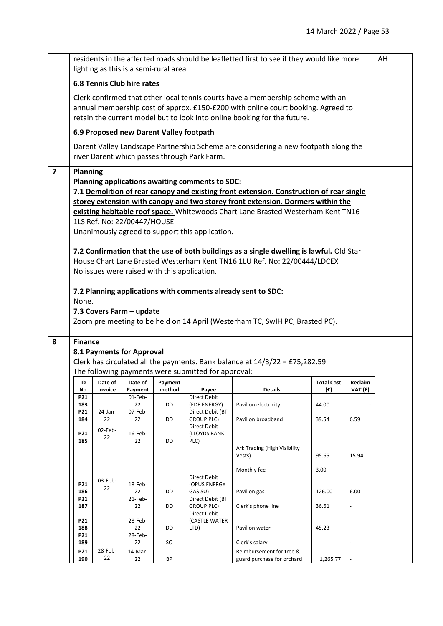|                         |                                                                                                                                                                                                                                                 |                  | lighting as this is a semi-rural area.                  |        |                                                                                                                                                    | residents in the affected roads should be leafletted first to see if they would like more                                                                                                                                                                                                                                                                                                                                                                                                              |          |                          | AH |
|-------------------------|-------------------------------------------------------------------------------------------------------------------------------------------------------------------------------------------------------------------------------------------------|------------------|---------------------------------------------------------|--------|----------------------------------------------------------------------------------------------------------------------------------------------------|--------------------------------------------------------------------------------------------------------------------------------------------------------------------------------------------------------------------------------------------------------------------------------------------------------------------------------------------------------------------------------------------------------------------------------------------------------------------------------------------------------|----------|--------------------------|----|
|                         | <b>6.8 Tennis Club hire rates</b>                                                                                                                                                                                                               |                  |                                                         |        |                                                                                                                                                    |                                                                                                                                                                                                                                                                                                                                                                                                                                                                                                        |          |                          |    |
|                         | Clerk confirmed that other local tennis courts have a membership scheme with an<br>annual membership cost of approx. £150-£200 with online court booking. Agreed to<br>retain the current model but to look into online booking for the future. |                  |                                                         |        |                                                                                                                                                    |                                                                                                                                                                                                                                                                                                                                                                                                                                                                                                        |          |                          |    |
|                         | 6.9 Proposed new Darent Valley footpath                                                                                                                                                                                                         |                  |                                                         |        |                                                                                                                                                    |                                                                                                                                                                                                                                                                                                                                                                                                                                                                                                        |          |                          |    |
|                         |                                                                                                                                                                                                                                                 |                  |                                                         |        | river Darent which passes through Park Farm.                                                                                                       | Darent Valley Landscape Partnership Scheme are considering a new footpath along the                                                                                                                                                                                                                                                                                                                                                                                                                    |          |                          |    |
| $\overline{\mathbf{z}}$ | <b>Planning</b><br>None.                                                                                                                                                                                                                        |                  | 1LS Ref. No: 22/00447/HOUSE<br>7.3 Covers Farm - update |        | Planning applications awaiting comments to SDC:<br>Unanimously agreed to support this application.<br>No issues were raised with this application. | 7.1 Demolition of rear canopy and existing front extension. Construction of rear single<br>storey extension with canopy and two storey front extension. Dormers within the<br>existing habitable roof space. Whitewoods Chart Lane Brasted Westerham Kent TN16<br>7.2 Confirmation that the use of both buildings as a single dwelling is lawful. Old Star<br>House Chart Lane Brasted Westerham Kent TN16 1LU Ref. No: 22/00444/LDCEX<br>7.2 Planning applications with comments already sent to SDC: |          |                          |    |
| 8                       | <b>Finance</b>                                                                                                                                                                                                                                  |                  |                                                         |        |                                                                                                                                                    | Zoom pre meeting to be held on 14 April (Westerham TC, SwIH PC, Brasted PC).                                                                                                                                                                                                                                                                                                                                                                                                                           |          |                          |    |
|                         |                                                                                                                                                                                                                                                 |                  | 8.1 Payments for Approval                               |        |                                                                                                                                                    |                                                                                                                                                                                                                                                                                                                                                                                                                                                                                                        |          |                          |    |
|                         | Clerk has circulated all the payments. Bank balance at 14/3/22 = £75,282.59                                                                                                                                                                     |                  |                                                         |        |                                                                                                                                                    |                                                                                                                                                                                                                                                                                                                                                                                                                                                                                                        |          |                          |    |
|                         | The following payments were submitted for approval:<br>Date of<br><b>Total Cost</b><br>Reclaim<br>ID<br>Date of<br>Payment                                                                                                                      |                  |                                                         |        |                                                                                                                                                    |                                                                                                                                                                                                                                                                                                                                                                                                                                                                                                        |          |                          |    |
|                         | No                                                                                                                                                                                                                                              | invoice          | Payment                                                 | method | Payee                                                                                                                                              | <b>Details</b>                                                                                                                                                                                                                                                                                                                                                                                                                                                                                         | (f)      | VAT (£)                  |    |
|                         | P21<br>183                                                                                                                                                                                                                                      |                  | 01-Feb-<br>22                                           | DD     | Direct Debit<br>(EDF ENERGY)                                                                                                                       | Pavilion electricity                                                                                                                                                                                                                                                                                                                                                                                                                                                                                   | 44.00    |                          |    |
|                         | P21<br>184                                                                                                                                                                                                                                      | $24$ -Jan-<br>22 | 07-Feb-<br>22                                           | DD     | Direct Debit (BT<br><b>GROUP PLC)</b>                                                                                                              | Pavilion broadband                                                                                                                                                                                                                                                                                                                                                                                                                                                                                     | 39.54    | 6.59                     |    |
|                         | P21<br>185                                                                                                                                                                                                                                      | 02-Feb-<br>22    | 16-Feb-<br>22                                           | DD     | Direct Debit<br>(LLOYDS BANK<br>PLC)                                                                                                               | Ark Trading (High Visibility                                                                                                                                                                                                                                                                                                                                                                                                                                                                           | 95.65    |                          |    |
|                         |                                                                                                                                                                                                                                                 |                  |                                                         |        |                                                                                                                                                    | Vests)                                                                                                                                                                                                                                                                                                                                                                                                                                                                                                 |          | 15.94                    |    |
|                         |                                                                                                                                                                                                                                                 | 03-Feb-          |                                                         |        | Direct Debit                                                                                                                                       | Monthly fee                                                                                                                                                                                                                                                                                                                                                                                                                                                                                            | 3.00     | $\overline{a}$           |    |
|                         | P21<br>186<br>P21                                                                                                                                                                                                                               | 22               | 18-Feb-<br>22<br>21-Feb-                                | DD     | (OPUS ENERGY<br>GAS SU)<br>Direct Debit (BT                                                                                                        | Pavilion gas                                                                                                                                                                                                                                                                                                                                                                                                                                                                                           | 126.00   | 6.00                     |    |
|                         | 187                                                                                                                                                                                                                                             |                  | 22                                                      | DD     | GROUP PLC)<br>Direct Debit                                                                                                                         | Clerk's phone line                                                                                                                                                                                                                                                                                                                                                                                                                                                                                     | 36.61    | $\overline{\phantom{a}}$ |    |
|                         | P21<br>188<br>P21                                                                                                                                                                                                                               |                  | 28-Feb-<br>22<br>28-Feb-                                | DD     | (CASTLE WATER<br>LTD)                                                                                                                              | Pavilion water                                                                                                                                                                                                                                                                                                                                                                                                                                                                                         | 45.23    | $\overline{\phantom{a}}$ |    |
|                         | 189                                                                                                                                                                                                                                             |                  | 22                                                      | SO     |                                                                                                                                                    | Clerk's salary                                                                                                                                                                                                                                                                                                                                                                                                                                                                                         |          | $\overline{\phantom{a}}$ |    |
|                         | P21<br>190                                                                                                                                                                                                                                      | 28-Feb-<br>22    | 14-Mar-<br>22                                           | BP     |                                                                                                                                                    | Reimbursement for tree &<br>guard purchase for orchard                                                                                                                                                                                                                                                                                                                                                                                                                                                 | 1,265.77 | $\overline{\phantom{a}}$ |    |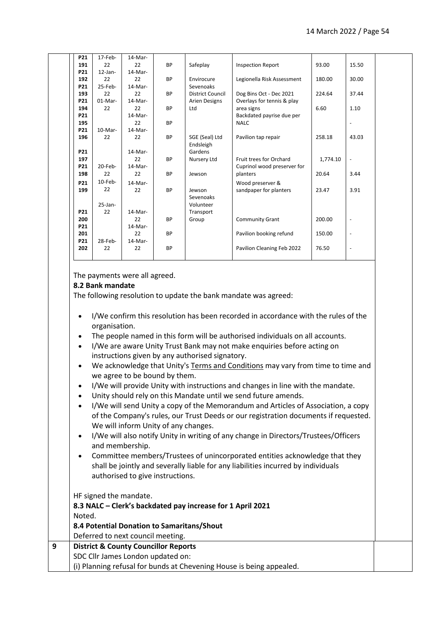| P21        | 17-Feb-    | 14-Mar- |           |                         |                             |          |                          |  |
|------------|------------|---------|-----------|-------------------------|-----------------------------|----------|--------------------------|--|
| 191        | 22         | 22      | <b>BP</b> | Safeplay                | <b>Inspection Report</b>    | 93.00    | 15.50                    |  |
| P21        | $12$ -Jan- | 14-Mar- |           |                         |                             |          |                          |  |
| 192        | 22         | 22      | <b>BP</b> | Envirocure              | Legionella Risk Assessment  | 180.00   | 30.00                    |  |
| P21        | $25$ -Feb- | 14-Mar- |           | Sevenoaks               |                             |          |                          |  |
| 193        | 22         | 22      | <b>BP</b> | <b>District Council</b> | Dog Bins Oct - Dec 2021     | 224.64   | 37.44                    |  |
| P21        | $01-Mar-$  | 14-Mar- |           | <b>Arien Designs</b>    | Overlays for tennis & play  |          |                          |  |
| 194        | 22         | 22      | <b>BP</b> | Ltd                     | area signs                  | 6.60     | 1.10                     |  |
| P21        |            | 14-Mar- |           |                         | Backdated payrise due per   |          |                          |  |
| 195        |            | 22      | <b>BP</b> |                         | <b>NALC</b>                 |          |                          |  |
| P21        | $10-Mar-$  | 14-Mar- |           |                         |                             |          |                          |  |
| 196        | 22         | 22      | <b>BP</b> | SGE (Seal) Ltd          | Pavilion tap repair         | 258.18   | 43.03                    |  |
|            |            |         |           | Endsleigh               |                             |          |                          |  |
| <b>P21</b> |            | 14-Mar- |           | Gardens                 |                             |          |                          |  |
| 197        |            | 22      | <b>BP</b> | Nursery Ltd             | Fruit trees for Orchard     | 1,774.10 |                          |  |
| P21        | 20-Feb-    | 14-Mar- |           |                         | Cuprinol wood preserver for |          |                          |  |
| 198        | 22         | 22      | <b>BP</b> | Jewson                  | planters                    | 20.64    | 3.44                     |  |
| P21        | $10$ -Feb- | 14-Mar- |           |                         | Wood preserver &            |          |                          |  |
| 199        | 22         | 22      | <b>BP</b> | Jewson                  | sandpaper for planters      | 23.47    | 3.91                     |  |
|            |            |         |           | Sevenoaks               |                             |          |                          |  |
|            | $25$ -Jan- |         |           | Volunteer               |                             |          |                          |  |
| P21        | 22         | 14-Mar- |           | Transport               |                             |          |                          |  |
| 200        |            | 22      | <b>BP</b> | Group                   | <b>Community Grant</b>      | 200.00   |                          |  |
| P21        |            | 14-Mar- |           |                         |                             |          |                          |  |
| 201        |            | 22      | <b>BP</b> |                         | Pavilion booking refund     | 150.00   | $\overline{\phantom{a}}$ |  |
| P21        | 28-Feb-    | 14-Mar- |           |                         |                             |          |                          |  |
| 202        | 22         | 22      | <b>BP</b> |                         | Pavilion Cleaning Feb 2022  | 76.50    | $\overline{\phantom{a}}$ |  |
|            |            |         |           |                         |                             |          |                          |  |

The payments were all agreed.

## **8.2 Bank mandate**

The following resolution to update the bank mandate was agreed:

- I/We confirm this resolution has been recorded in accordance with the rules of the organisation.
- The people named in this form will be authorised individuals on all accounts.
- I/We are aware Unity Trust Bank may not make enquiries before acting on instructions given by any authorised signatory.
- We acknowledge that Unity's [Terms and Conditions](https://www.unity.co.uk/terms-and-conditions/) may vary from time to time and we agree to be bound by them.
- I/We will provide Unity with instructions and changes in line with the mandate.
- Unity should rely on this Mandate until we send future amends.
- I/We will send Unity a copy of the Memorandum and Articles of Association, a copy of the Company's rules, our Trust Deeds or our registration documents if requested. We will inform Unity of any changes.
- I/We will also notify Unity in writing of any change in Directors/Trustees/Officers and membership.
- Committee members/Trustees of unincorporated entities acknowledge that they shall be jointly and severally liable for any liabilities incurred by individuals authorised to give instructions.

HF signed the mandate.

|   | 8.3 NALC - Clerk's backdated pay increase for 1 April 2021           |
|---|----------------------------------------------------------------------|
|   | Noted.                                                               |
|   | 8.4 Potential Donation to Samaritans/Shout                           |
|   | Deferred to next council meeting.                                    |
| 9 | <b>District &amp; County Councillor Reports</b>                      |
|   | SDC Cllr James London updated on:                                    |
|   | (i) Planning refusal for bunds at Chevening House is being appealed. |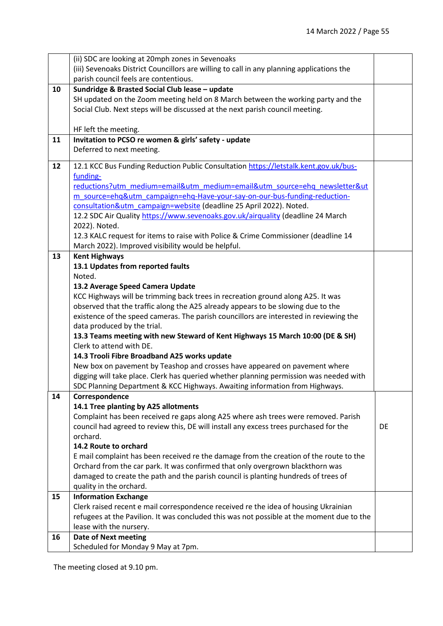|    | (ii) SDC are looking at 20mph zones in Sevenoaks                                                                                                                            |    |
|----|-----------------------------------------------------------------------------------------------------------------------------------------------------------------------------|----|
|    | (iii) Sevenoaks District Councillors are willing to call in any planning applications the                                                                                   |    |
|    | parish council feels are contentious.                                                                                                                                       |    |
| 10 | Sundridge & Brasted Social Club lease - update                                                                                                                              |    |
|    | SH updated on the Zoom meeting held on 8 March between the working party and the                                                                                            |    |
|    | Social Club. Next steps will be discussed at the next parish council meeting.                                                                                               |    |
|    |                                                                                                                                                                             |    |
|    | HF left the meeting.                                                                                                                                                        |    |
| 11 | Invitation to PCSO re women & girls' safety - update                                                                                                                        |    |
|    | Deferred to next meeting.                                                                                                                                                   |    |
| 12 | 12.1 KCC Bus Funding Reduction Public Consultation https://letstalk.kent.gov.uk/bus-                                                                                        |    |
|    | funding-                                                                                                                                                                    |    |
|    | reductions?utm_medium=email&utm_medium=email&utm_source=ehq_newsletter&ut                                                                                                   |    |
|    | m source=ehq&utm campaign=ehq-Have-your-say-on-our-bus-funding-reduction-                                                                                                   |    |
|    | consultation&utm_campaign=website (deadline 25 April 2022). Noted.                                                                                                          |    |
|    | 12.2 SDC Air Quality https://www.sevenoaks.gov.uk/airquality (deadline 24 March                                                                                             |    |
|    | 2022). Noted.                                                                                                                                                               |    |
|    | 12.3 KALC request for items to raise with Police & Crime Commissioner (deadline 14                                                                                          |    |
|    | March 2022). Improved visibility would be helpful.                                                                                                                          |    |
| 13 | <b>Kent Highways</b><br>13.1 Updates from reported faults                                                                                                                   |    |
|    | Noted.                                                                                                                                                                      |    |
|    | 13.2 Average Speed Camera Update                                                                                                                                            |    |
|    | KCC Highways will be trimming back trees in recreation ground along A25. It was                                                                                             |    |
|    | observed that the traffic along the A25 already appears to be slowing due to the                                                                                            |    |
|    | existence of the speed cameras. The parish councillors are interested in reviewing the                                                                                      |    |
|    | data produced by the trial.                                                                                                                                                 |    |
|    | 13.3 Teams meeting with new Steward of Kent Highways 15 March 10:00 (DE & SH)                                                                                               |    |
|    | Clerk to attend with DE.                                                                                                                                                    |    |
|    | 14.3 Trooli Fibre Broadband A25 works update                                                                                                                                |    |
|    | New box on pavement by Teashop and crosses have appeared on pavement where                                                                                                  |    |
|    | digging will take place. Clerk has queried whether planning permission was needed with                                                                                      |    |
|    | SDC Planning Department & KCC Highways. Awaiting information from Highways.                                                                                                 |    |
| 14 | Correspondence                                                                                                                                                              |    |
|    | 14.1 Tree planting by A25 allotments                                                                                                                                        |    |
|    | Complaint has been received re gaps along A25 where ash trees were removed. Parish<br>council had agreed to review this, DE will install any excess trees purchased for the | DE |
|    | orchard.                                                                                                                                                                    |    |
|    | 14.2 Route to orchard                                                                                                                                                       |    |
|    | E mail complaint has been received re the damage from the creation of the route to the                                                                                      |    |
|    | Orchard from the car park. It was confirmed that only overgrown blackthorn was                                                                                              |    |
|    | damaged to create the path and the parish council is planting hundreds of trees of                                                                                          |    |
|    | quality in the orchard.                                                                                                                                                     |    |
| 15 | <b>Information Exchange</b>                                                                                                                                                 |    |
|    | Clerk raised recent e mail correspondence received re the idea of housing Ukrainian                                                                                         |    |
|    | refugees at the Pavilion. It was concluded this was not possible at the moment due to the                                                                                   |    |
|    | lease with the nursery.                                                                                                                                                     |    |
| 16 | <b>Date of Next meeting</b>                                                                                                                                                 |    |
|    | Scheduled for Monday 9 May at 7pm.                                                                                                                                          |    |

The meeting closed at 9.10 pm.